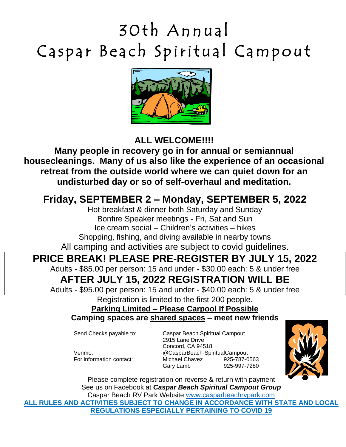# 30th Annual Caspar Beach Spiritual Campout



#### **ALL WELCOME!!!!**

**Many people in recovery go in for annual or semiannual housecleanings. Many of us also like the experience of an occasional retreat from the outside world where we can quiet down for an undisturbed day or so of self-overhaul and meditation.**

## **Friday, SEPTEMBER 2 – Monday, SEPTEMBER 5, 2022**

Hot breakfast & dinner both Saturday and Sunday Bonfire Speaker meetings - Fri, Sat and Sun Ice cream social – Children's activities – hikes Shopping, fishing, and diving available in nearby towns All camping and activities are subject to covid guidelines.

#### **PRICE BREAK! PLEASE PRE-REGISTER BY JULY 15, 2022**

Adults - \$85.00 per person: 15 and under - \$30.00 each: 5 & under free

### **AFTER JULY 15, 2022 REGISTRATION WILL BE**

Adults - \$95.00 per person: 15 and under - \$40.00 each: 5 & under free

Registration is limited to the first 200 people.

**Parking Limited – Please Carpool If Possible Camping spaces are shared spaces – meet new friends**

Send Checks payable to: Caspar Beach Spiritual Campout 2915 Lane Drive Concord, CA 94518 Venmo: @CasparBeach-SpiritualCampout For information contact: Michael Chavez 925-787-0563 Gary Lamb 925-997-7280



Please complete registration on reverse & return with payment See us on Facebook at *Caspar Beach Spiritual Campout Group* Caspar Beach RV Park Website [www.casparbeachrvpark.com](http://www.casparbeachrvpark.com/) **ALL RULES AND ACTIVITIES SUBJECT TO CHANGE IN ACCORDANCE WITH STATE AND LOCAL REGULATIONS ESPECIALLY PERTAINING TO COVID 19**